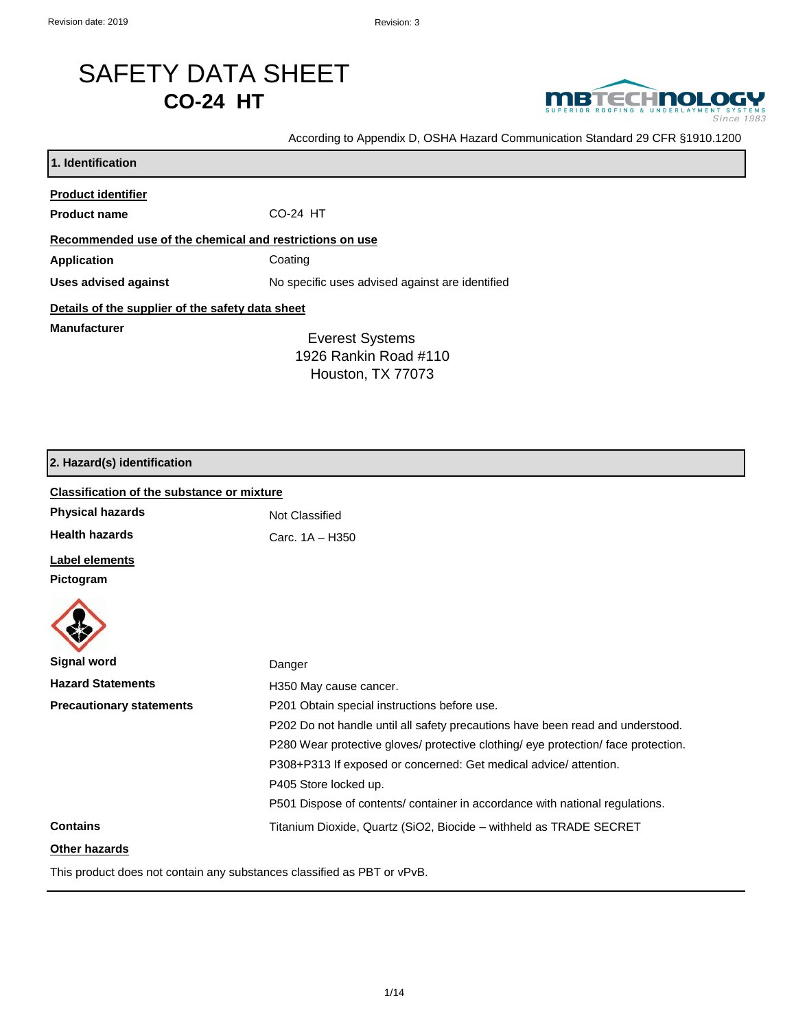# SAFETY DATA SHEET **CO-24 HT**



According to Appendix D, OSHA Hazard Communication Standard 29 CFR §1910.1200

| 1. Identification                                       |                                                 |  |
|---------------------------------------------------------|-------------------------------------------------|--|
| <b>Product identifier</b>                               |                                                 |  |
| <b>Product name</b>                                     | CO-24 HT                                        |  |
| Recommended use of the chemical and restrictions on use |                                                 |  |
| Application                                             | Coating                                         |  |
| Uses advised against                                    | No specific uses advised against are identified |  |
| Details of the supplier of the safety data sheet        |                                                 |  |
| <b>Manufacturer</b>                                     | <b>Everest Systems</b>                          |  |
|                                                         | 1926 Rankin Road #110                           |  |
|                                                         | Houston, TX 77073                               |  |

## **2. Hazard(s) identification**

| <b>Classification of the substance or mixture</b> |                                                                                    |  |
|---------------------------------------------------|------------------------------------------------------------------------------------|--|
| <b>Physical hazards</b>                           | Not Classified                                                                     |  |
| <b>Health hazards</b>                             | Carc. 1A - H350                                                                    |  |
| <b>Label elements</b>                             |                                                                                    |  |
| Pictogram                                         |                                                                                    |  |
|                                                   |                                                                                    |  |
| <b>Signal word</b>                                | Danger                                                                             |  |
| <b>Hazard Statements</b>                          | H350 May cause cancer.                                                             |  |
| <b>Precautionary statements</b>                   | P201 Obtain special instructions before use.                                       |  |
|                                                   | P202 Do not handle until all safety precautions have been read and understood.     |  |
|                                                   | P280 Wear protective gloves/ protective clothing/ eye protection/ face protection. |  |
|                                                   | P308+P313 If exposed or concerned: Get medical advice/attention.                   |  |
|                                                   | P405 Store locked up.                                                              |  |
|                                                   | P501 Dispose of contents/ container in accordance with national regulations.       |  |
| <b>Contains</b>                                   | Titanium Dioxide, Quartz (SiO2, Biocide - withheld as TRADE SECRET                 |  |
| Other hazards                                     |                                                                                    |  |

This product does not contain any substances classified as PBT or vPvB.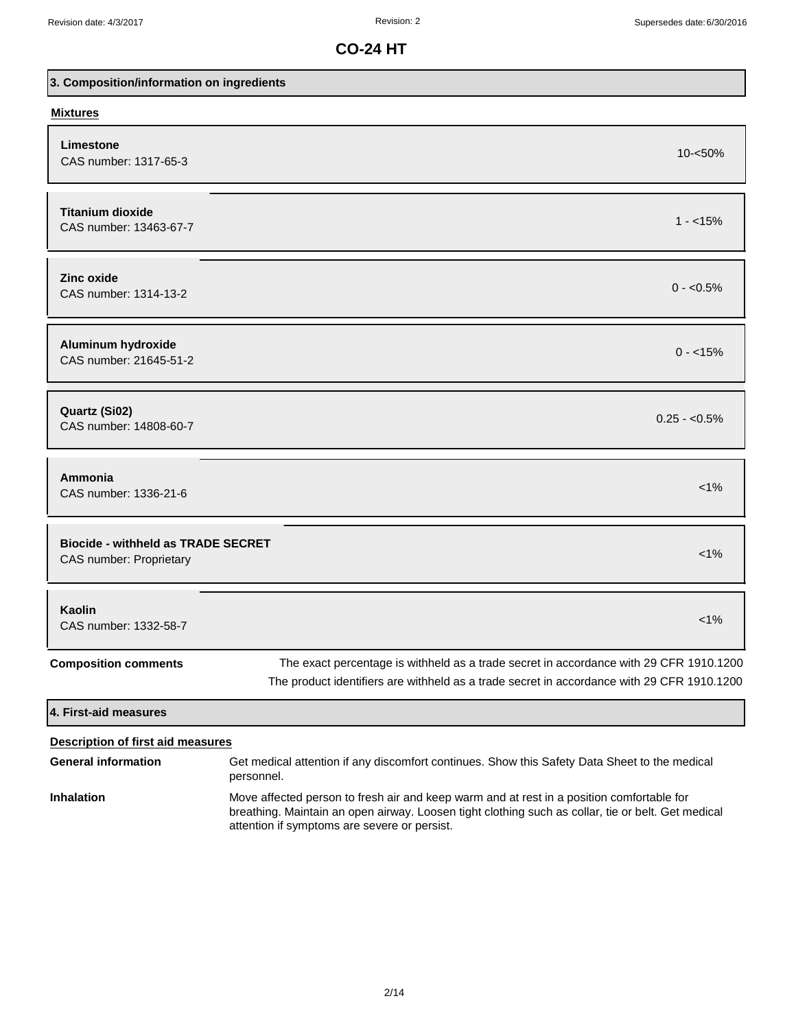| 3. Composition/information on ingredients                            |                                                                                                                                                                                                                                                 |  |
|----------------------------------------------------------------------|-------------------------------------------------------------------------------------------------------------------------------------------------------------------------------------------------------------------------------------------------|--|
| <b>Mixtures</b>                                                      |                                                                                                                                                                                                                                                 |  |
| Limestone<br>CAS number: 1317-65-3                                   | $10 - 50\%$                                                                                                                                                                                                                                     |  |
| <b>Titanium dioxide</b><br>CAS number: 13463-67-7                    | $1 - 15\%$                                                                                                                                                                                                                                      |  |
| <b>Zinc oxide</b><br>CAS number: 1314-13-2                           | $0 - 0.5\%$                                                                                                                                                                                                                                     |  |
| Aluminum hydroxide<br>CAS number: 21645-51-2                         | $0 - 15\%$                                                                                                                                                                                                                                      |  |
| Quartz (Si02)<br>CAS number: 14808-60-7                              | $0.25 - 0.5\%$                                                                                                                                                                                                                                  |  |
| Ammonia<br>CAS number: 1336-21-6                                     | $< 1\%$                                                                                                                                                                                                                                         |  |
| <b>Biocide - withheld as TRADE SECRET</b><br>CAS number: Proprietary | $< 1\%$                                                                                                                                                                                                                                         |  |
| Kaolin<br>CAS number: 1332-58-7                                      | $1\%$                                                                                                                                                                                                                                           |  |
| <b>Composition comments</b>                                          | The exact percentage is withheld as a trade secret in accordance with 29 CFR 1910.1200<br>The product identifiers are withheld as a trade secret in accordance with 29 CFR 1910.1200                                                            |  |
| 4. First-aid measures                                                |                                                                                                                                                                                                                                                 |  |
| <b>Description of first aid measures</b>                             |                                                                                                                                                                                                                                                 |  |
| <b>General information</b>                                           | Get medical attention if any discomfort continues. Show this Safety Data Sheet to the medical<br>personnel.                                                                                                                                     |  |
| <b>Inhalation</b>                                                    | Move affected person to fresh air and keep warm and at rest in a position comfortable for<br>breathing. Maintain an open airway. Loosen tight clothing such as collar, tie or belt. Get medical<br>attention if symptoms are severe or persist. |  |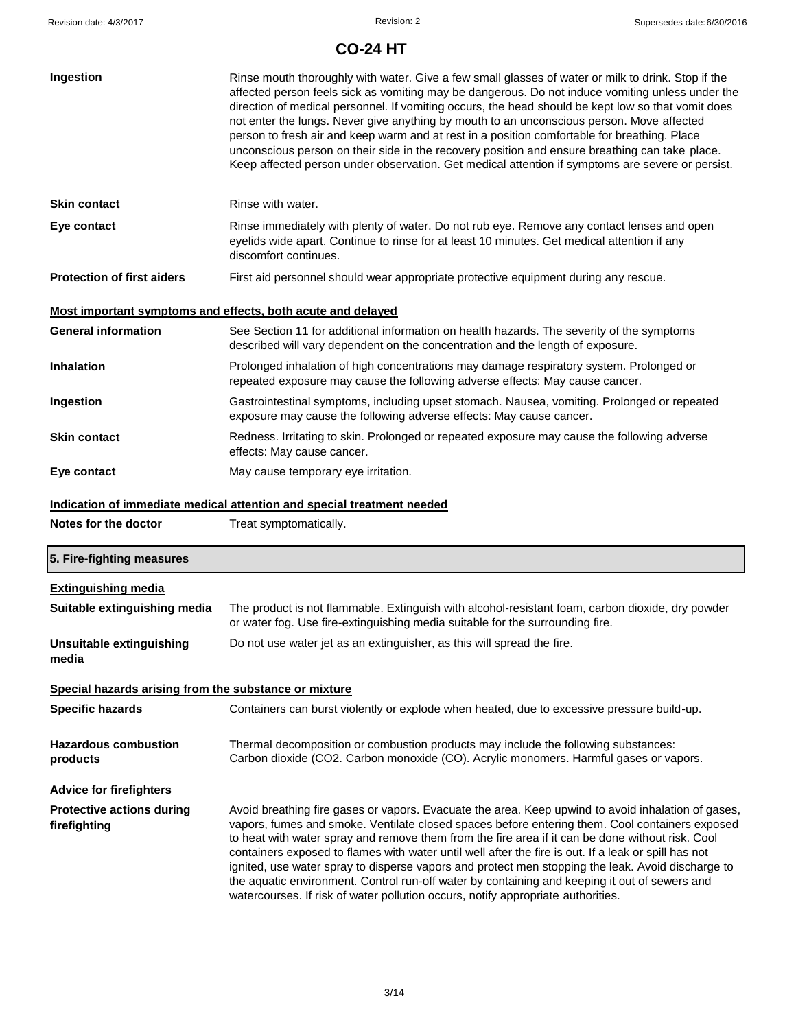| Ingestion                                                                        | Rinse mouth thoroughly with water. Give a few small glasses of water or milk to drink. Stop if the<br>affected person feels sick as vomiting may be dangerous. Do not induce vomiting unless under the<br>direction of medical personnel. If vomiting occurs, the head should be kept low so that vomit does<br>not enter the lungs. Never give anything by mouth to an unconscious person. Move affected<br>person to fresh air and keep warm and at rest in a position comfortable for breathing. Place<br>unconscious person on their side in the recovery position and ensure breathing can take place.<br>Keep affected person under observation. Get medical attention if symptoms are severe or persist. |  |
|----------------------------------------------------------------------------------|-----------------------------------------------------------------------------------------------------------------------------------------------------------------------------------------------------------------------------------------------------------------------------------------------------------------------------------------------------------------------------------------------------------------------------------------------------------------------------------------------------------------------------------------------------------------------------------------------------------------------------------------------------------------------------------------------------------------|--|
| <b>Skin contact</b>                                                              | Rinse with water.                                                                                                                                                                                                                                                                                                                                                                                                                                                                                                                                                                                                                                                                                               |  |
| Eye contact                                                                      | Rinse immediately with plenty of water. Do not rub eye. Remove any contact lenses and open<br>eyelids wide apart. Continue to rinse for at least 10 minutes. Get medical attention if any<br>discomfort continues.                                                                                                                                                                                                                                                                                                                                                                                                                                                                                              |  |
| <b>Protection of first aiders</b>                                                | First aid personnel should wear appropriate protective equipment during any rescue.                                                                                                                                                                                                                                                                                                                                                                                                                                                                                                                                                                                                                             |  |
|                                                                                  | Most important symptoms and effects, both acute and delayed                                                                                                                                                                                                                                                                                                                                                                                                                                                                                                                                                                                                                                                     |  |
| <b>General information</b>                                                       | See Section 11 for additional information on health hazards. The severity of the symptoms<br>described will vary dependent on the concentration and the length of exposure.                                                                                                                                                                                                                                                                                                                                                                                                                                                                                                                                     |  |
| <b>Inhalation</b>                                                                | Prolonged inhalation of high concentrations may damage respiratory system. Prolonged or<br>repeated exposure may cause the following adverse effects: May cause cancer.                                                                                                                                                                                                                                                                                                                                                                                                                                                                                                                                         |  |
| Ingestion                                                                        | Gastrointestinal symptoms, including upset stomach. Nausea, vomiting. Prolonged or repeated<br>exposure may cause the following adverse effects: May cause cancer.                                                                                                                                                                                                                                                                                                                                                                                                                                                                                                                                              |  |
| <b>Skin contact</b>                                                              | Redness. Irritating to skin. Prolonged or repeated exposure may cause the following adverse<br>effects: May cause cancer.                                                                                                                                                                                                                                                                                                                                                                                                                                                                                                                                                                                       |  |
| Eye contact                                                                      | May cause temporary eye irritation.                                                                                                                                                                                                                                                                                                                                                                                                                                                                                                                                                                                                                                                                             |  |
| Indication of immediate medical attention and special treatment needed           |                                                                                                                                                                                                                                                                                                                                                                                                                                                                                                                                                                                                                                                                                                                 |  |
|                                                                                  |                                                                                                                                                                                                                                                                                                                                                                                                                                                                                                                                                                                                                                                                                                                 |  |
| Notes for the doctor                                                             | Treat symptomatically.                                                                                                                                                                                                                                                                                                                                                                                                                                                                                                                                                                                                                                                                                          |  |
| 5. Fire-fighting measures                                                        |                                                                                                                                                                                                                                                                                                                                                                                                                                                                                                                                                                                                                                                                                                                 |  |
| <b>Extinguishing media</b>                                                       |                                                                                                                                                                                                                                                                                                                                                                                                                                                                                                                                                                                                                                                                                                                 |  |
| Suitable extinguishing media                                                     | The product is not flammable. Extinguish with alcohol-resistant foam, carbon dioxide, dry powder<br>or water fog. Use fire-extinguishing media suitable for the surrounding fire.                                                                                                                                                                                                                                                                                                                                                                                                                                                                                                                               |  |
| Unsuitable extinguishing<br>media                                                | Do not use water jet as an extinguisher, as this will spread the fire.                                                                                                                                                                                                                                                                                                                                                                                                                                                                                                                                                                                                                                          |  |
|                                                                                  |                                                                                                                                                                                                                                                                                                                                                                                                                                                                                                                                                                                                                                                                                                                 |  |
| Special hazards arising from the substance or mixture<br><b>Specific hazards</b> | Containers can burst violently or explode when heated, due to excessive pressure build-up.                                                                                                                                                                                                                                                                                                                                                                                                                                                                                                                                                                                                                      |  |
| <b>Hazardous combustion</b><br>products                                          | Thermal decomposition or combustion products may include the following substances:<br>Carbon dioxide (CO2. Carbon monoxide (CO). Acrylic monomers. Harmful gases or vapors.                                                                                                                                                                                                                                                                                                                                                                                                                                                                                                                                     |  |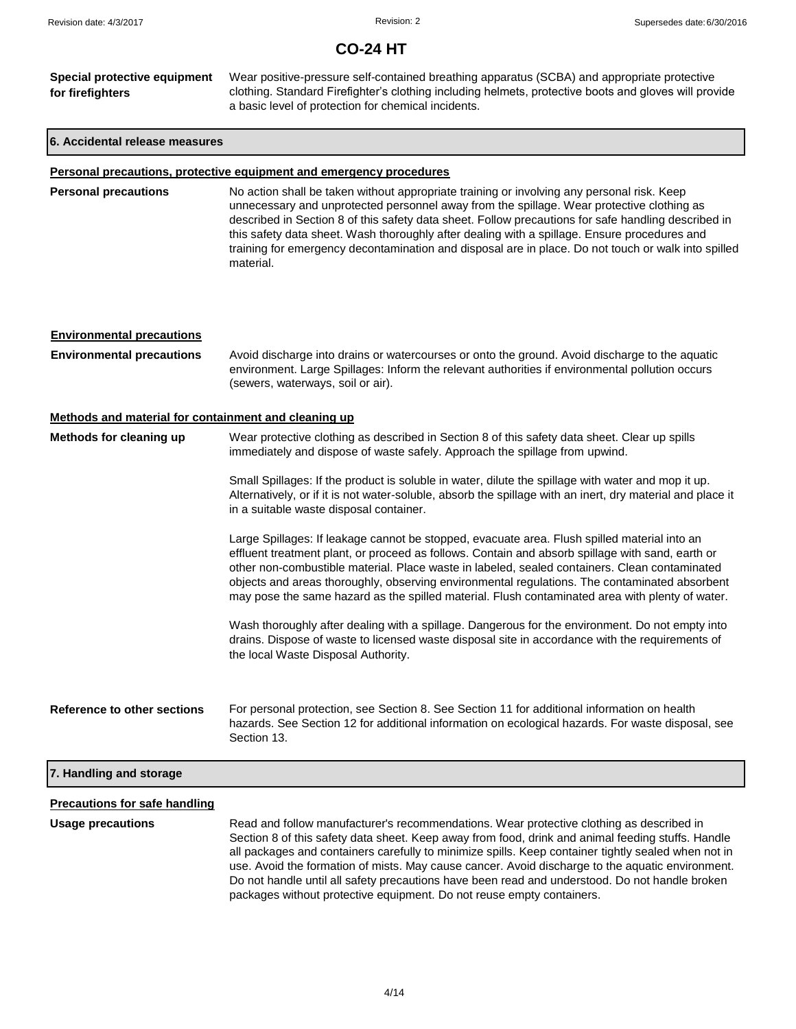| Special protective equipment | Wear positive-pressure self-contained breathing apparatus (SCBA) and appropriate protective                                                                  |  |
|------------------------------|--------------------------------------------------------------------------------------------------------------------------------------------------------------|--|
| for firefighters             | clothing. Standard Firefighter's clothing including helmets, protective boots and gloves will provide<br>a basic level of protection for chemical incidents. |  |
|                              |                                                                                                                                                              |  |

### **6. Accidental release measures**

## **Personal precautions, protective equipment and emergency procedures**

| <b>Personal precautions</b> | No action shall be taken without appropriate training or involving any personal risk. Keep<br>unnecessary and unprotected personnel away from the spillage. Wear protective clothing as<br>described in Section 8 of this safety data sheet. Follow precautions for safe handling described in<br>this safety data sheet. Wash thoroughly after dealing with a spillage. Ensure procedures and<br>training for emergency decontamination and disposal are in place. Do not touch or walk into spilled<br>material. |
|-----------------------------|--------------------------------------------------------------------------------------------------------------------------------------------------------------------------------------------------------------------------------------------------------------------------------------------------------------------------------------------------------------------------------------------------------------------------------------------------------------------------------------------------------------------|
|                             |                                                                                                                                                                                                                                                                                                                                                                                                                                                                                                                    |

| <b>Environmental precautions</b>                     |                                                                                                                                                                                                                                                                                                                                                                                                                                                                                                       |
|------------------------------------------------------|-------------------------------------------------------------------------------------------------------------------------------------------------------------------------------------------------------------------------------------------------------------------------------------------------------------------------------------------------------------------------------------------------------------------------------------------------------------------------------------------------------|
| <b>Environmental precautions</b>                     | Avoid discharge into drains or watercourses or onto the ground. Avoid discharge to the aquatic<br>environment. Large Spillages: Inform the relevant authorities if environmental pollution occurs<br>(sewers, waterways, soil or air).                                                                                                                                                                                                                                                                |
| Methods and material for containment and cleaning up |                                                                                                                                                                                                                                                                                                                                                                                                                                                                                                       |
| Methods for cleaning up                              | Wear protective clothing as described in Section 8 of this safety data sheet. Clear up spills<br>immediately and dispose of waste safely. Approach the spillage from upwind.                                                                                                                                                                                                                                                                                                                          |
|                                                      | Small Spillages: If the product is soluble in water, dilute the spillage with water and mop it up.<br>Alternatively, or if it is not water-soluble, absorb the spillage with an inert, dry material and place it<br>in a suitable waste disposal container.                                                                                                                                                                                                                                           |
|                                                      | Large Spillages: If leakage cannot be stopped, evacuate area. Flush spilled material into an<br>effluent treatment plant, or proceed as follows. Contain and absorb spillage with sand, earth or<br>other non-combustible material. Place waste in labeled, sealed containers. Clean contaminated<br>objects and areas thoroughly, observing environmental regulations. The contaminated absorbent<br>may pose the same hazard as the spilled material. Flush contaminated area with plenty of water. |
|                                                      | Wash thoroughly after dealing with a spillage. Dangerous for the environment. Do not empty into<br>drains. Dispose of waste to licensed waste disposal site in accordance with the requirements of<br>the local Waste Disposal Authority.                                                                                                                                                                                                                                                             |
| Reference to other sections                          | For personal protection, see Section 8. See Section 11 for additional information on health<br>hazards. See Section 12 for additional information on ecological hazards. For waste disposal, see<br>Section 13.                                                                                                                                                                                                                                                                                       |
| 7. Handling and storage                              |                                                                                                                                                                                                                                                                                                                                                                                                                                                                                                       |
| <b>Precautions for safe handling</b>                 |                                                                                                                                                                                                                                                                                                                                                                                                                                                                                                       |
| <b>Usage precautions</b>                             | Read and follow manufacturer's recommendations. Wear protective clothing as described in                                                                                                                                                                                                                                                                                                                                                                                                              |

Section 8 of this safety data sheet. Keep away from food, drink and animal feeding stuffs. Handle all packages and containers carefully to minimize spills. Keep container tightly sealed when not in use. Avoid the formation of mists. May cause cancer. Avoid discharge to the aquatic environment. Do not handle until all safety precautions have been read and understood. Do not handle broken packages without protective equipment. Do not reuse empty containers.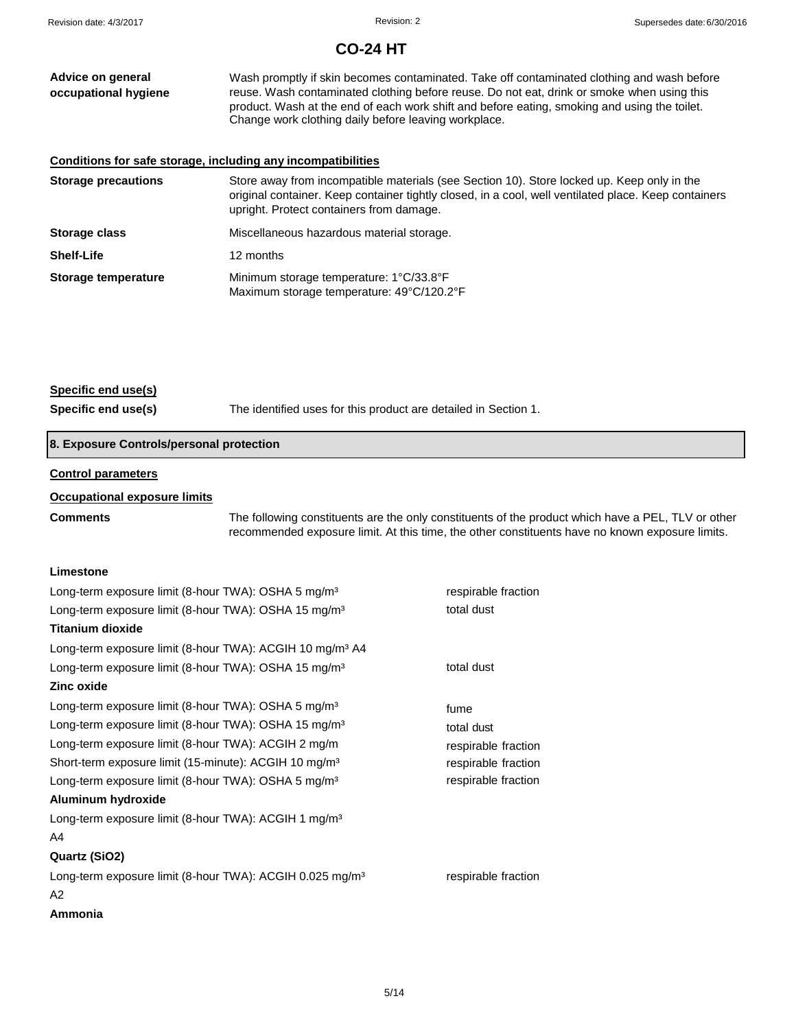| Advice on general<br>occupational hygiene                    | Wash promptly if skin becomes contaminated. Take off contaminated clothing and wash before<br>reuse. Wash contaminated clothing before reuse. Do not eat, drink or smoke when using this<br>product. Wash at the end of each work shift and before eating, smoking and using the toilet.<br>Change work clothing daily before leaving workplace. |
|--------------------------------------------------------------|--------------------------------------------------------------------------------------------------------------------------------------------------------------------------------------------------------------------------------------------------------------------------------------------------------------------------------------------------|
| Conditions for safe storage, including any incompatibilities |                                                                                                                                                                                                                                                                                                                                                  |
| <b>Storage precautions</b>                                   | Store away from incompatible materials (see Section 10). Store locked up. Keep only in the<br>original container. Keep container tightly closed, in a cool, well ventilated place. Keep containers<br>upright. Protect containers from damage.                                                                                                   |
| Storage class                                                | Miscellaneous hazardous material storage.                                                                                                                                                                                                                                                                                                        |
| <b>Shelf-Life</b>                                            | 12 months                                                                                                                                                                                                                                                                                                                                        |
| Storage temperature                                          | Minimum storage temperature: 1°C/33.8°F<br>Maximum storage temperature: 49°C/120.2°F                                                                                                                                                                                                                                                             |

## **Specific end use(s)**

**Specific end use(s)** The identified uses for this product are detailed in Section 1.

## **8. Exposure Controls/personal protection**

### **Control parameters**

### **Occupational exposure limits**

**Comments** The following constituents are the only constituents of the product which have a PEL, TLV or other recommended exposure limit. At this time, the other constituents have no known exposure limits.

## **Limestone**

| respirable fraction |
|---------------------|
| total dust          |
|                     |
|                     |
| total dust          |
|                     |
| fume                |
| total dust          |
| respirable fraction |
| respirable fraction |
| respirable fraction |
|                     |
|                     |
|                     |
|                     |
| respirable fraction |
|                     |
|                     |
|                     |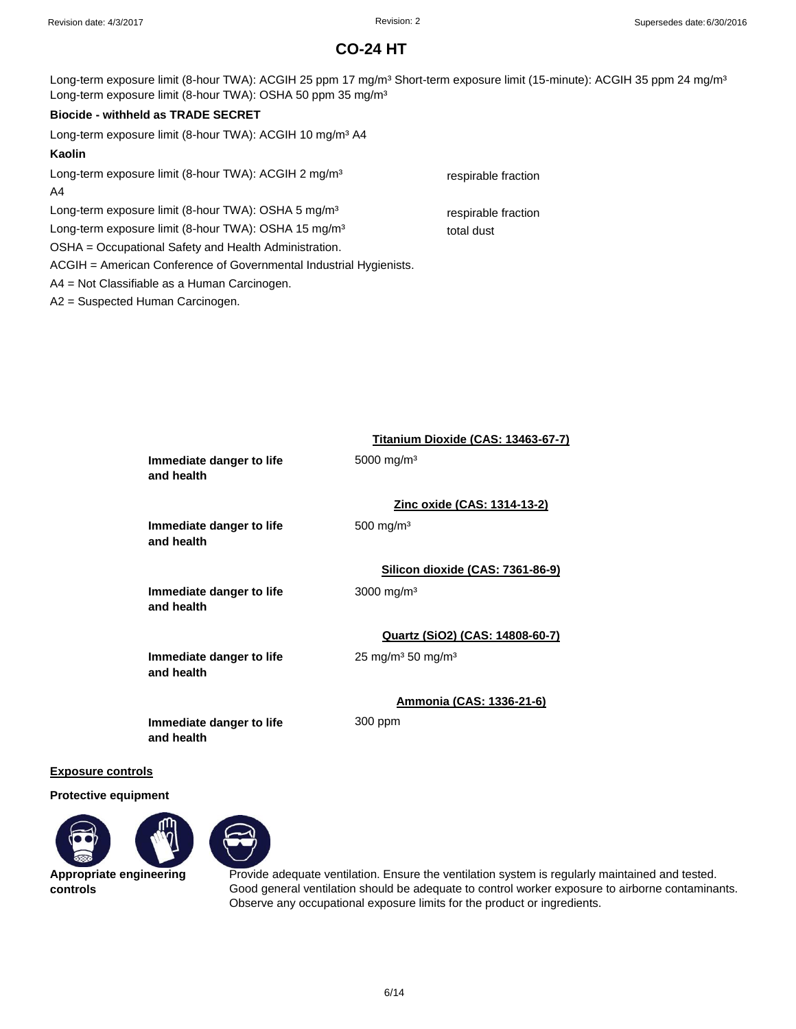Long-term exposure limit (8-hour TWA): ACGIH 25 ppm 17 mg/m<sup>3</sup> Short-term exposure limit (15-minute): ACGIH 35 ppm 24 mg/m<sup>3</sup> Long-term exposure limit (8-hour TWA): OSHA 50 ppm 35 mg/m<sup>3</sup>

## **Biocide - withheld as TRADE SECRET**

Long-term exposure limit (8-hour TWA): ACGIH 10 mg/m<sup>3</sup> A4

## **Kaolin**

Long-term exposure limit (8-hour TWA): ACGIH 2 mg/m<sup>3</sup> respirable fraction A4

Long-term exposure limit (8-hour TWA): OSHA 5 mg/m<sup>3</sup> respirable fraction

Long-term exposure limit (8-hour TWA): OSHA 15 mg/m<sup>3</sup> total dust

OSHA = Occupational Safety and Health Administration.

ACGIH = American Conference of Governmental Industrial Hygienists.

A4 = Not Classifiable as a Human Carcinogen.

A2 = Suspected Human Carcinogen.

|                                        | Titanium Dioxide (CAS: 13463-67-7)        |
|----------------------------------------|-------------------------------------------|
| Immediate danger to life<br>and health | 5000 mg/m <sup>3</sup>                    |
|                                        | Zinc oxide (CAS: 1314-13-2)               |
| Immediate danger to life<br>and health | $500 \; \mathrm{mg/m^3}$                  |
|                                        | Silicon dioxide (CAS: 7361-86-9)          |
| Immediate danger to life<br>and health | $3000 \,\mathrm{mg/m^3}$                  |
|                                        | Quartz (SiO2) (CAS: 14808-60-7)           |
| Immediate danger to life<br>and health | 25 mg/m <sup>3</sup> 50 mg/m <sup>3</sup> |
|                                        | Ammonia (CAS: 1336-21-6)                  |

300 ppm

**Immediate danger to life and health**

## **Exposure controls**

**Protective equipment**





**Appropriate engineering controls**

Provide adequate ventilation. Ensure the ventilation system is regularly maintained and tested. Good general ventilation should be adequate to control worker exposure to airborne contaminants. Observe any occupational exposure limits for the product or ingredients.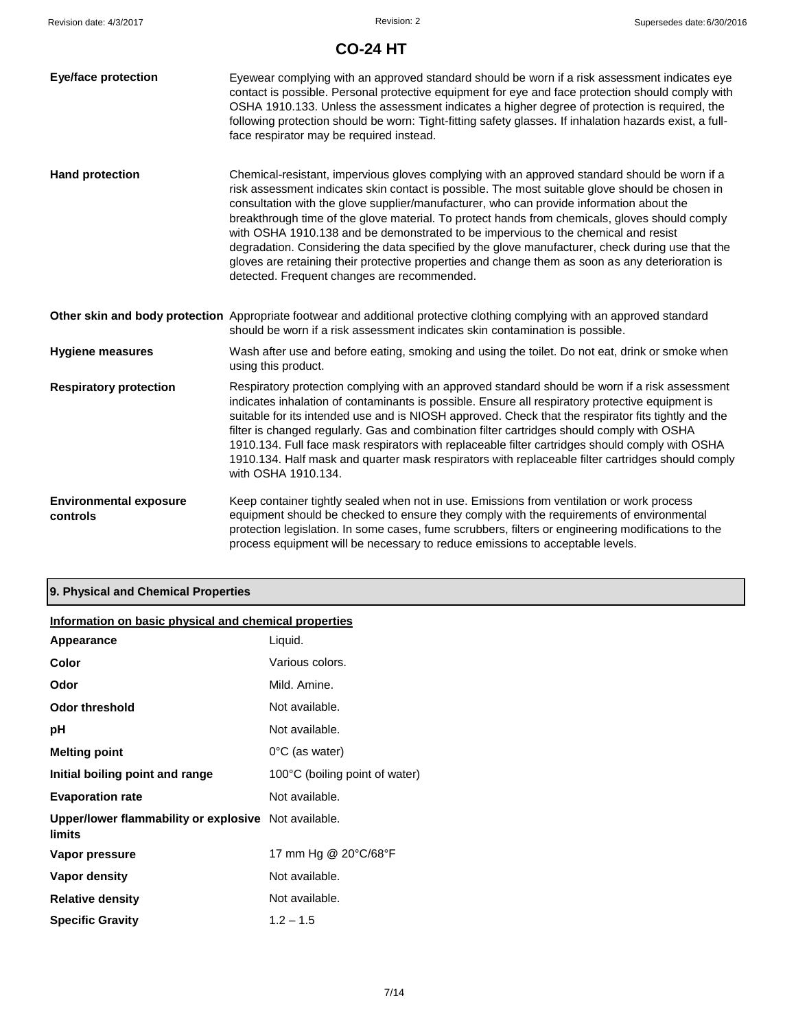| <b>Eye/face protection</b>                | Eyewear complying with an approved standard should be worn if a risk assessment indicates eye<br>contact is possible. Personal protective equipment for eye and face protection should comply with<br>OSHA 1910.133. Unless the assessment indicates a higher degree of protection is required, the<br>following protection should be worn: Tight-fitting safety glasses. If inhalation hazards exist, a full-<br>face respirator may be required instead.                                                                                                                                                                                                                                                                                  |
|-------------------------------------------|---------------------------------------------------------------------------------------------------------------------------------------------------------------------------------------------------------------------------------------------------------------------------------------------------------------------------------------------------------------------------------------------------------------------------------------------------------------------------------------------------------------------------------------------------------------------------------------------------------------------------------------------------------------------------------------------------------------------------------------------|
| <b>Hand protection</b>                    | Chemical-resistant, impervious gloves complying with an approved standard should be worn if a<br>risk assessment indicates skin contact is possible. The most suitable glove should be chosen in<br>consultation with the glove supplier/manufacturer, who can provide information about the<br>breakthrough time of the glove material. To protect hands from chemicals, gloves should comply<br>with OSHA 1910.138 and be demonstrated to be impervious to the chemical and resist<br>degradation. Considering the data specified by the glove manufacturer, check during use that the<br>gloves are retaining their protective properties and change them as soon as any deterioration is<br>detected. Frequent changes are recommended. |
|                                           | Other skin and body protection Appropriate footwear and additional protective clothing complying with an approved standard<br>should be worn if a risk assessment indicates skin contamination is possible.                                                                                                                                                                                                                                                                                                                                                                                                                                                                                                                                 |
| <b>Hygiene measures</b>                   | Wash after use and before eating, smoking and using the toilet. Do not eat, drink or smoke when<br>using this product.                                                                                                                                                                                                                                                                                                                                                                                                                                                                                                                                                                                                                      |
| <b>Respiratory protection</b>             | Respiratory protection complying with an approved standard should be worn if a risk assessment<br>indicates inhalation of contaminants is possible. Ensure all respiratory protective equipment is<br>suitable for its intended use and is NIOSH approved. Check that the respirator fits tightly and the<br>filter is changed regularly. Gas and combination filter cartridges should comply with OSHA<br>1910.134. Full face mask respirators with replaceable filter cartridges should comply with OSHA<br>1910.134. Half mask and quarter mask respirators with replaceable filter cartridges should comply<br>with OSHA 1910.134.                                                                                                      |
| <b>Environmental exposure</b><br>controls | Keep container tightly sealed when not in use. Emissions from ventilation or work process<br>equipment should be checked to ensure they comply with the requirements of environmental<br>protection legislation. In some cases, fume scrubbers, filters or engineering modifications to the<br>process equipment will be necessary to reduce emissions to acceptable levels.                                                                                                                                                                                                                                                                                                                                                                |

## **9. Physical and Chemical Properties**

| Information on basic physical and chemical properties          |                                |  |
|----------------------------------------------------------------|--------------------------------|--|
| Appearance                                                     | Liquid.                        |  |
| Color                                                          | Various colors.                |  |
| Odor                                                           | Mild, Amine.                   |  |
| Odor threshold                                                 | Not available.                 |  |
| рH                                                             | Not available.                 |  |
| <b>Melting point</b>                                           | $0^{\circ}$ C (as water)       |  |
| Initial boiling point and range                                | 100°C (boiling point of water) |  |
| <b>Evaporation rate</b>                                        | Not available.                 |  |
| Upper/lower flammability or explosive Not available.<br>limits |                                |  |
| Vapor pressure                                                 | 17 mm Hg @ 20°C/68°F           |  |
| Vapor density                                                  | Not available.                 |  |
| <b>Relative density</b>                                        | Not available.                 |  |
| <b>Specific Gravity</b>                                        | $1.2 - 1.5$                    |  |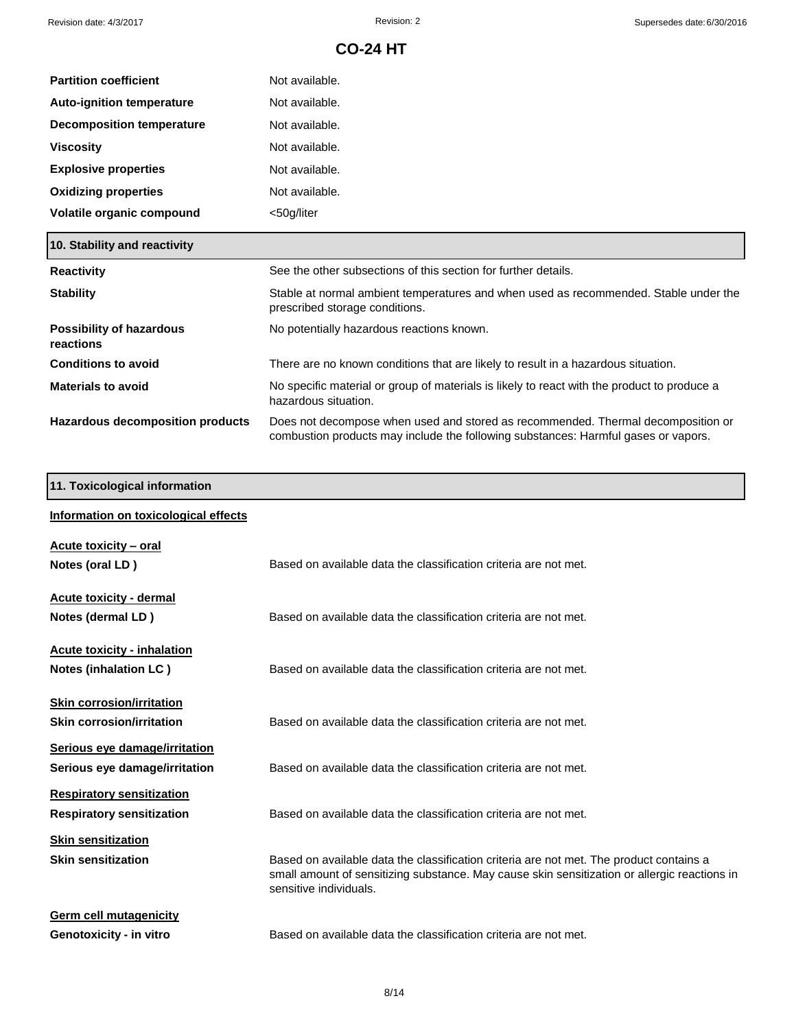| <b>Partition coefficient</b>     | Not available. |
|----------------------------------|----------------|
| <b>Auto-ignition temperature</b> | Not available. |
| <b>Decomposition temperature</b> | Not available. |
| <b>Viscosity</b>                 | Not available. |
| <b>Explosive properties</b>      | Not available. |
| <b>Oxidizing properties</b>      | Not available. |
| Volatile organic compound        | <50g/liter     |

| 10. Stability and reactivity          |                                                                                                                                                                        |
|---------------------------------------|------------------------------------------------------------------------------------------------------------------------------------------------------------------------|
| <b>Reactivity</b>                     | See the other subsections of this section for further details.                                                                                                         |
| <b>Stability</b>                      | Stable at normal ambient temperatures and when used as recommended. Stable under the<br>prescribed storage conditions.                                                 |
| Possibility of hazardous<br>reactions | No potentially hazardous reactions known.                                                                                                                              |
| <b>Conditions to avoid</b>            | There are no known conditions that are likely to result in a hazardous situation.                                                                                      |
| <b>Materials to avoid</b>             | No specific material or group of materials is likely to react with the product to produce a<br>hazardous situation.                                                    |
| Hazardous decomposition products      | Does not decompose when used and stored as recommended. Thermal decomposition or<br>combustion products may include the following substances: Harmful gases or vapors. |

## **11. Toxicological information**

| Information on toxicological effects                                 |                                                                                                                                                                                                                   |
|----------------------------------------------------------------------|-------------------------------------------------------------------------------------------------------------------------------------------------------------------------------------------------------------------|
| Acute toxicity – oral<br>Notes (oral LD)                             | Based on available data the classification criteria are not met.                                                                                                                                                  |
| Acute toxicity - dermal<br>Notes (dermal LD)                         | Based on available data the classification criteria are not met.                                                                                                                                                  |
| <b>Acute toxicity - inhalation</b><br>Notes (inhalation LC)          | Based on available data the classification criteria are not met.                                                                                                                                                  |
| <b>Skin corrosion/irritation</b><br><b>Skin corrosion/irritation</b> | Based on available data the classification criteria are not met.                                                                                                                                                  |
| Serious eye damage/irritation<br>Serious eye damage/irritation       | Based on available data the classification criteria are not met.                                                                                                                                                  |
| <b>Respiratory sensitization</b><br><b>Respiratory sensitization</b> | Based on available data the classification criteria are not met.                                                                                                                                                  |
| <b>Skin sensitization</b><br><b>Skin sensitization</b>               | Based on available data the classification criteria are not met. The product contains a<br>small amount of sensitizing substance. May cause skin sensitization or allergic reactions in<br>sensitive individuals. |
| <b>Germ cell mutagenicity</b><br>Genotoxicity - in vitro             | Based on available data the classification criteria are not met.                                                                                                                                                  |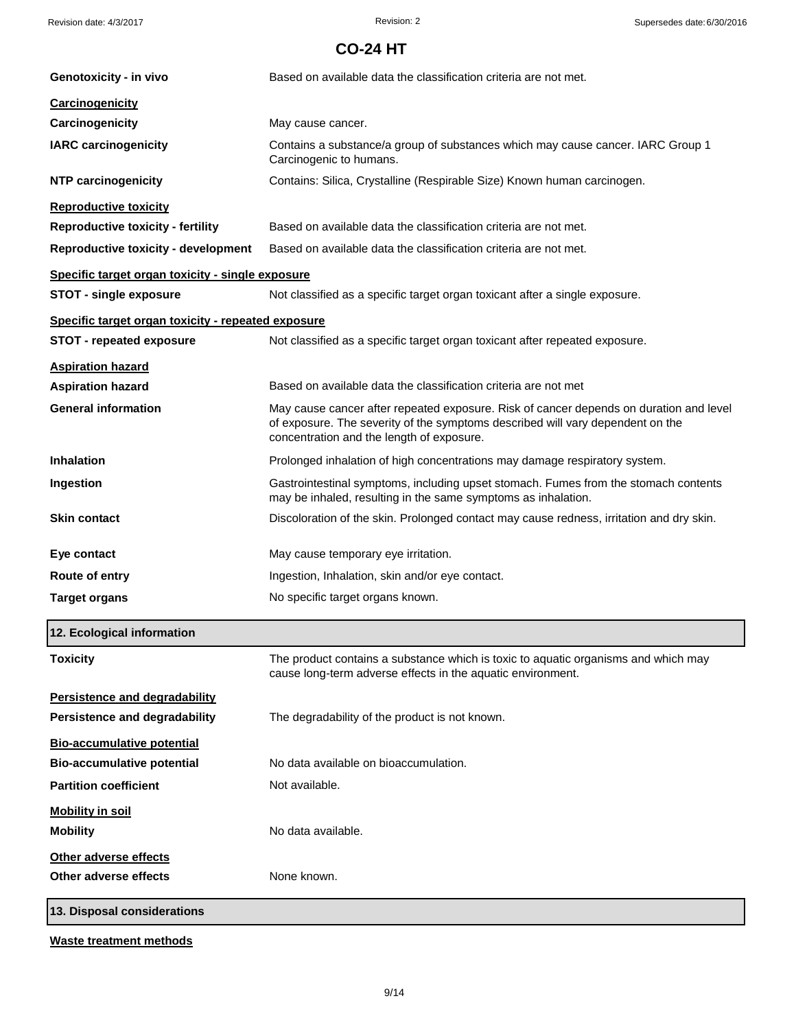| Genotoxicity - in vivo                             | Based on available data the classification criteria are not met.                                                                                                                                                      |
|----------------------------------------------------|-----------------------------------------------------------------------------------------------------------------------------------------------------------------------------------------------------------------------|
| Carcinogenicity                                    |                                                                                                                                                                                                                       |
| Carcinogenicity                                    | May cause cancer.                                                                                                                                                                                                     |
| <b>IARC carcinogenicity</b>                        | Contains a substance/a group of substances which may cause cancer. IARC Group 1<br>Carcinogenic to humans.                                                                                                            |
| <b>NTP carcinogenicity</b>                         | Contains: Silica, Crystalline (Respirable Size) Known human carcinogen.                                                                                                                                               |
| <b>Reproductive toxicity</b>                       |                                                                                                                                                                                                                       |
| <b>Reproductive toxicity - fertility</b>           | Based on available data the classification criteria are not met.                                                                                                                                                      |
| <b>Reproductive toxicity - development</b>         | Based on available data the classification criteria are not met.                                                                                                                                                      |
| Specific target organ toxicity - single exposure   |                                                                                                                                                                                                                       |
| <b>STOT - single exposure</b>                      | Not classified as a specific target organ toxicant after a single exposure.                                                                                                                                           |
| Specific target organ toxicity - repeated exposure |                                                                                                                                                                                                                       |
| <b>STOT - repeated exposure</b>                    | Not classified as a specific target organ toxicant after repeated exposure.                                                                                                                                           |
| <b>Aspiration hazard</b>                           |                                                                                                                                                                                                                       |
| <b>Aspiration hazard</b>                           | Based on available data the classification criteria are not met                                                                                                                                                       |
| <b>General information</b>                         | May cause cancer after repeated exposure. Risk of cancer depends on duration and level<br>of exposure. The severity of the symptoms described will vary dependent on the<br>concentration and the length of exposure. |
| <b>Inhalation</b>                                  | Prolonged inhalation of high concentrations may damage respiratory system.                                                                                                                                            |
| Ingestion                                          | Gastrointestinal symptoms, including upset stomach. Fumes from the stomach contents<br>may be inhaled, resulting in the same symptoms as inhalation.                                                                  |
| <b>Skin contact</b>                                | Discoloration of the skin. Prolonged contact may cause redness, irritation and dry skin.                                                                                                                              |
| Eye contact                                        | May cause temporary eye irritation.                                                                                                                                                                                   |
| Route of entry                                     | Ingestion, Inhalation, skin and/or eye contact.                                                                                                                                                                       |
| <b>Target organs</b>                               | No specific target organs known.                                                                                                                                                                                      |
| 12. Ecological information                         |                                                                                                                                                                                                                       |
| <b>Toxicity</b>                                    | The product contains a substance which is toxic to aquatic organisms and which may<br>cause long-term adverse effects in the aquatic environment.                                                                     |
| Persistence and degradability                      |                                                                                                                                                                                                                       |
| Persistence and degradability                      | The degradability of the product is not known.                                                                                                                                                                        |
| <b>Bio-accumulative potential</b>                  |                                                                                                                                                                                                                       |
| <b>Bio-accumulative potential</b>                  | No data available on bioaccumulation.                                                                                                                                                                                 |
| <b>Partition coefficient</b>                       | Not available.                                                                                                                                                                                                        |
| <b>Mobility in soil</b>                            |                                                                                                                                                                                                                       |
| <b>Mobility</b>                                    | No data available.                                                                                                                                                                                                    |
| Other adverse effects                              |                                                                                                                                                                                                                       |
| Other adverse effects                              | None known.                                                                                                                                                                                                           |
| 13. Disposal considerations                        |                                                                                                                                                                                                                       |
|                                                    |                                                                                                                                                                                                                       |

**Waste treatment methods**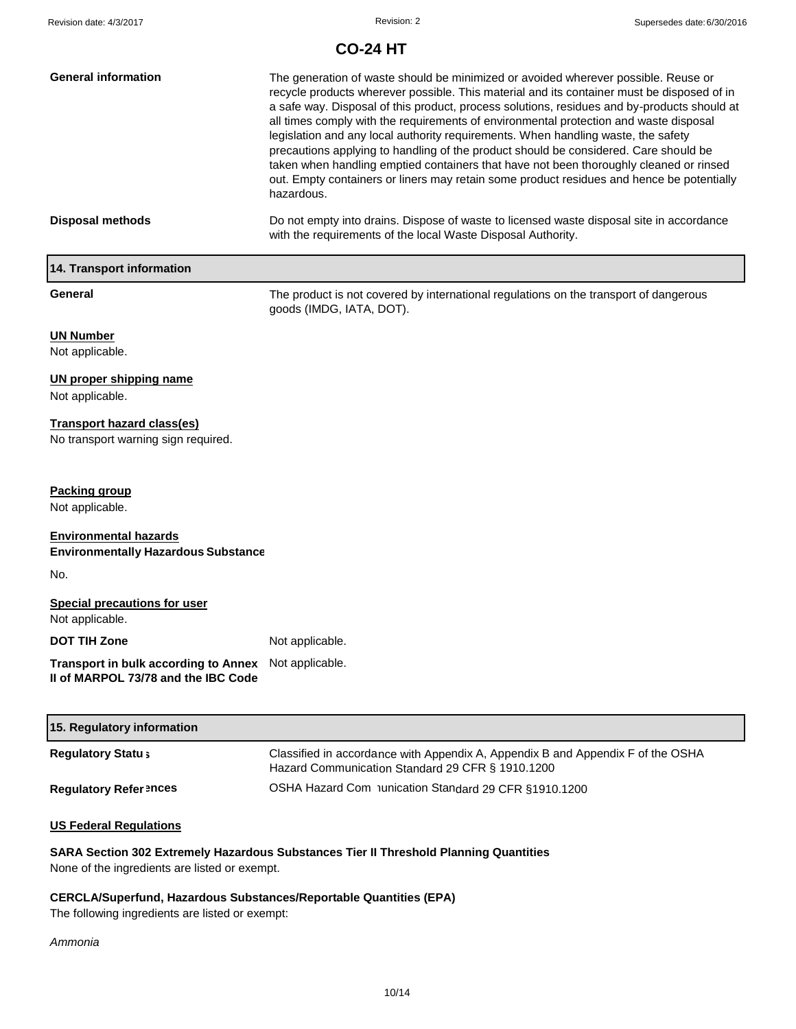| <b>General information</b>                                                                  | The generation of waste should be minimized or avoided wherever possible. Reuse or<br>recycle products wherever possible. This material and its container must be disposed of in<br>a safe way. Disposal of this product, process solutions, residues and by-products should at<br>all times comply with the requirements of environmental protection and waste disposal<br>legislation and any local authority requirements. When handling waste, the safety<br>precautions applying to handling of the product should be considered. Care should be<br>taken when handling emptied containers that have not been thoroughly cleaned or rinsed<br>out. Empty containers or liners may retain some product residues and hence be potentially<br>hazardous. |
|---------------------------------------------------------------------------------------------|------------------------------------------------------------------------------------------------------------------------------------------------------------------------------------------------------------------------------------------------------------------------------------------------------------------------------------------------------------------------------------------------------------------------------------------------------------------------------------------------------------------------------------------------------------------------------------------------------------------------------------------------------------------------------------------------------------------------------------------------------------|
| Disposal methods                                                                            | Do not empty into drains. Dispose of waste to licensed waste disposal site in accordance<br>with the requirements of the local Waste Disposal Authority.                                                                                                                                                                                                                                                                                                                                                                                                                                                                                                                                                                                                   |
| 14. Transport information                                                                   |                                                                                                                                                                                                                                                                                                                                                                                                                                                                                                                                                                                                                                                                                                                                                            |
| General                                                                                     | The product is not covered by international regulations on the transport of dangerous<br>goods (IMDG, IATA, DOT).                                                                                                                                                                                                                                                                                                                                                                                                                                                                                                                                                                                                                                          |
| <b>UN Number</b><br>Not applicable.                                                         |                                                                                                                                                                                                                                                                                                                                                                                                                                                                                                                                                                                                                                                                                                                                                            |
| <b>UN proper shipping name</b><br>Not applicable.                                           |                                                                                                                                                                                                                                                                                                                                                                                                                                                                                                                                                                                                                                                                                                                                                            |
| <b>Transport hazard class(es)</b><br>No transport warning sign required.                    |                                                                                                                                                                                                                                                                                                                                                                                                                                                                                                                                                                                                                                                                                                                                                            |
| Packing group<br>Not applicable.                                                            |                                                                                                                                                                                                                                                                                                                                                                                                                                                                                                                                                                                                                                                                                                                                                            |
| <b>Environmental hazards</b><br><b>Environmentally Hazardous Substance</b>                  |                                                                                                                                                                                                                                                                                                                                                                                                                                                                                                                                                                                                                                                                                                                                                            |
| No.                                                                                         |                                                                                                                                                                                                                                                                                                                                                                                                                                                                                                                                                                                                                                                                                                                                                            |
| <b>Special precautions for user</b><br>Not applicable.                                      |                                                                                                                                                                                                                                                                                                                                                                                                                                                                                                                                                                                                                                                                                                                                                            |
| <b>DOT TIH Zone</b>                                                                         | Not applicable.                                                                                                                                                                                                                                                                                                                                                                                                                                                                                                                                                                                                                                                                                                                                            |
| Transport in bulk according to Annex Not applicable.<br>II of MARPOL 73/78 and the IBC Code |                                                                                                                                                                                                                                                                                                                                                                                                                                                                                                                                                                                                                                                                                                                                                            |
| 15. Regulatory information                                                                  |                                                                                                                                                                                                                                                                                                                                                                                                                                                                                                                                                                                                                                                                                                                                                            |

| <b>Regulatory Statu</b> ;     | Classified in accordance with Appendix A, Appendix B and Appendix F of the OSHA<br>Hazard Communication Standard 29 CFR § 1910.1200 |
|-------------------------------|-------------------------------------------------------------------------------------------------------------------------------------|
| <b>Regulatory Refer Inces</b> | OSHA Hazard Com nunication Standard 29 CFR §1910.1200                                                                               |

## **US Federal Regulations**

## **SARA Section 302 Extremely Hazardous Substances Tier II Threshold Planning Quantities**

None of the ingredients are listed or exempt.

## **CERCLA/Superfund, Hazardous Substances/Reportable Quantities (EPA)**

The following ingredients are listed or exempt:

#### *Ammonia*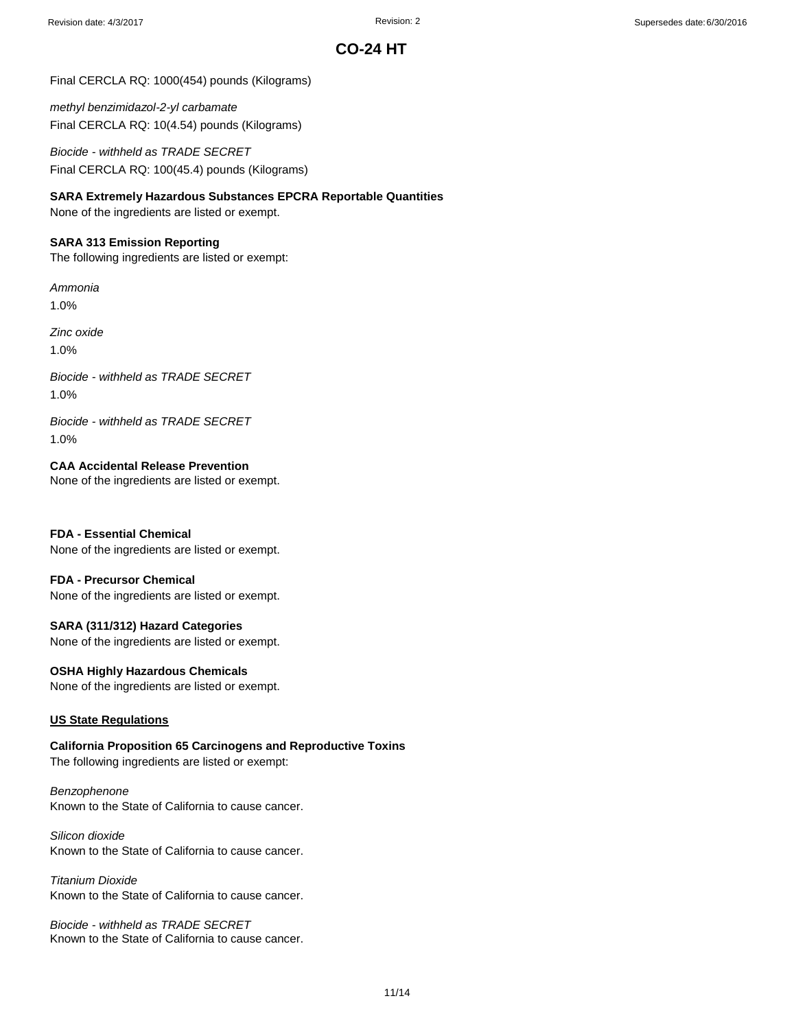Final CERCLA RQ: 1000(454) pounds (Kilograms)

*methyl benzimidazol-2-yl carbamate* Final CERCLA RQ: 10(4.54) pounds (Kilograms)

*Biocide - withheld as TRADE SECRET* Final CERCLA RQ: 100(45.4) pounds (Kilograms)

**SARA Extremely Hazardous Substances EPCRA Reportable Quantities**

None of the ingredients are listed or exempt.

#### **SARA 313 Emission Reporting**

The following ingredients are listed or exempt:

#### *Ammonia*

1.0%

*Zinc oxide*

1.0%

*Biocide - withheld as TRADE SECRET* 1.0%

*Biocide - withheld as TRADE SECRET* 1.0%

**CAA Accidental Release Prevention**

None of the ingredients are listed or exempt.

### **FDA - Essential Chemical**

None of the ingredients are listed or exempt.

#### **FDA - Precursor Chemical**

None of the ingredients are listed or exempt.

### **SARA (311/312) Hazard Categories**

None of the ingredients are listed or exempt.

#### **OSHA Highly Hazardous Chemicals**

None of the ingredients are listed or exempt.

### **US State Regulations**

**California Proposition 65 Carcinogens and Reproductive Toxins** The following ingredients are listed or exempt:

*Benzophenone* Known to the State of California to cause cancer.

### *Silicon dioxide* Known to the State of California to cause cancer.

*Titanium Dioxide* Known to the State of California to cause cancer.

*Biocide - withheld as TRADE SECRET* Known to the State of California to cause cancer.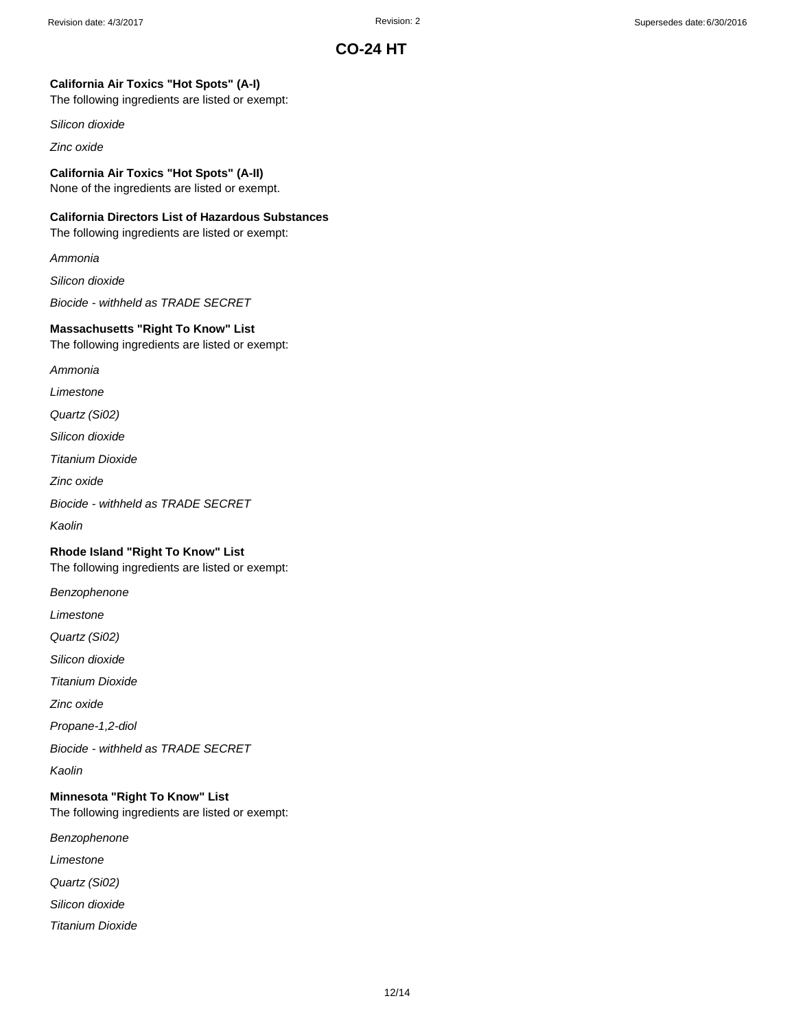## **California Air Toxics "Hot Spots" (A-I)**

The following ingredients are listed or exempt:

*Silicon dioxide*

*Zinc oxide*

## **California Air Toxics "Hot Spots" (A-II)**

None of the ingredients are listed or exempt.

## **California Directors List of Hazardous Substances**

The following ingredients are listed or exempt:

*Ammonia*

*Silicon dioxide*

*Biocide - withheld as TRADE SECRET*

### **Massachusetts "Right To Know" List**

The following ingredients are listed or exempt:

*Ammonia*

*Limestone*

*Quartz (Si02)*

*Silicon dioxide*

*Titanium Dioxide*

*Zinc oxide*

*Biocide - withheld as TRADE SECRET*

*Kaolin*

## **Rhode Island "Right To Know" List**

The following ingredients are listed or exempt:

*Benzophenone*

*Limestone*

*Quartz (Si02)*

*Silicon dioxide*

*Titanium Dioxide*

*Zinc oxide*

*Propane-1,2-diol*

*Biocide - withheld as TRADE SECRET*

*Kaolin*

### **Minnesota "Right To Know" List** The following ingredients are listed or exempt:

*Benzophenone*

*Limestone*

*Quartz (Si02)*

*Silicon dioxide*

*Titanium Dioxide*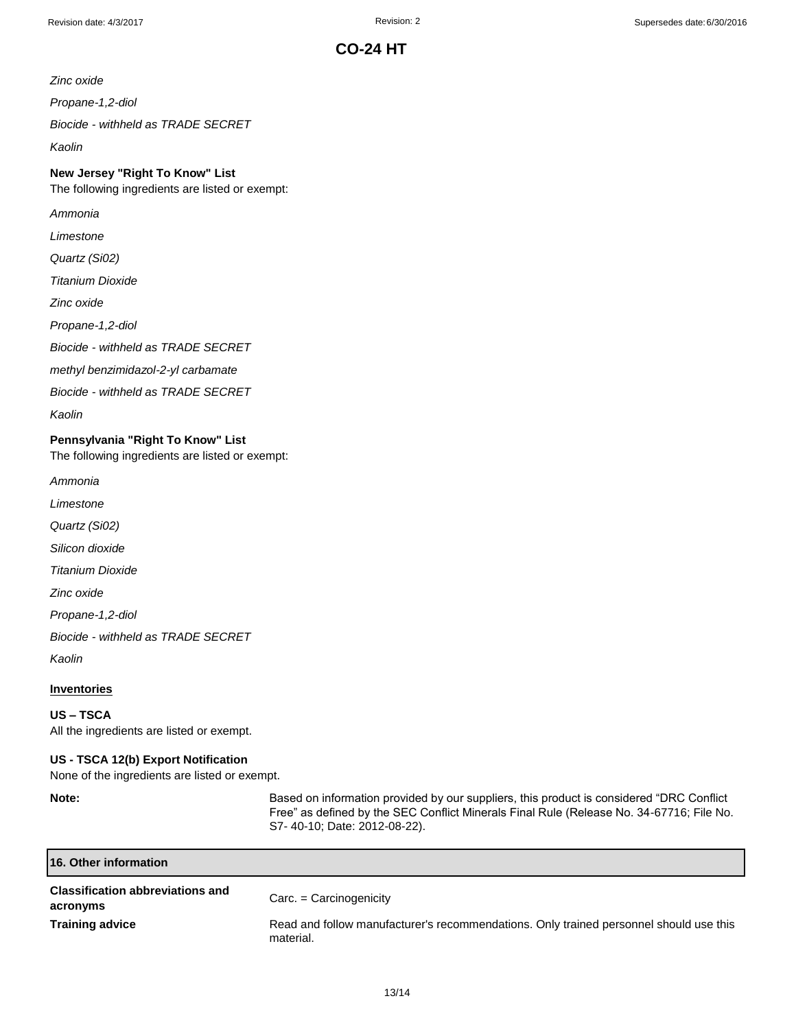*Zinc oxide*

*Propane-1,2-diol*

*Biocide - withheld as TRADE SECRET*

*Kaolin*

## **New Jersey "Right To Know" List**

The following ingredients are listed or exempt:

*Ammonia*

*Limestone*

*Quartz (Si02)*

*Titanium Dioxide*

*Zinc oxide*

*Propane-1,2-diol*

*Biocide - withheld as TRADE SECRET*

*methyl benzimidazol-2-yl carbamate*

*Biocide - withheld as TRADE SECRET*

*Kaolin*

## **Pennsylvania "Right To Know" List**

The following ingredients are listed or exempt:

*Ammonia*

*Limestone*

*Quartz (Si02)*

*Silicon dioxide*

*Titanium Dioxide*

*Zinc oxide*

*Propane-1,2-diol*

*Biocide - withheld as TRADE SECRET*

*Kaolin*

## **Inventories**

#### **US – TSCA**

All the ingredients are listed or exempt.

#### **US - TSCA 12(b) Export Notification**

None of the ingredients are listed or exempt.

**Note:** Based on information provided by our suppliers, this product is considered "DRC Conflict Free" as defined by the SEC Conflict Minerals Final Rule (Release No. 34-67716; File No. S7- 40-10; Date: 2012-08-22).

| 16. Other information                               |                                                                                                     |
|-----------------------------------------------------|-----------------------------------------------------------------------------------------------------|
| <b>Classification abbreviations and</b><br>acronyms | $Carc = Carcinogeneity$                                                                             |
| <b>Training advice</b>                              | Read and follow manufacturer's recommendations. Only trained personnel should use this<br>material. |